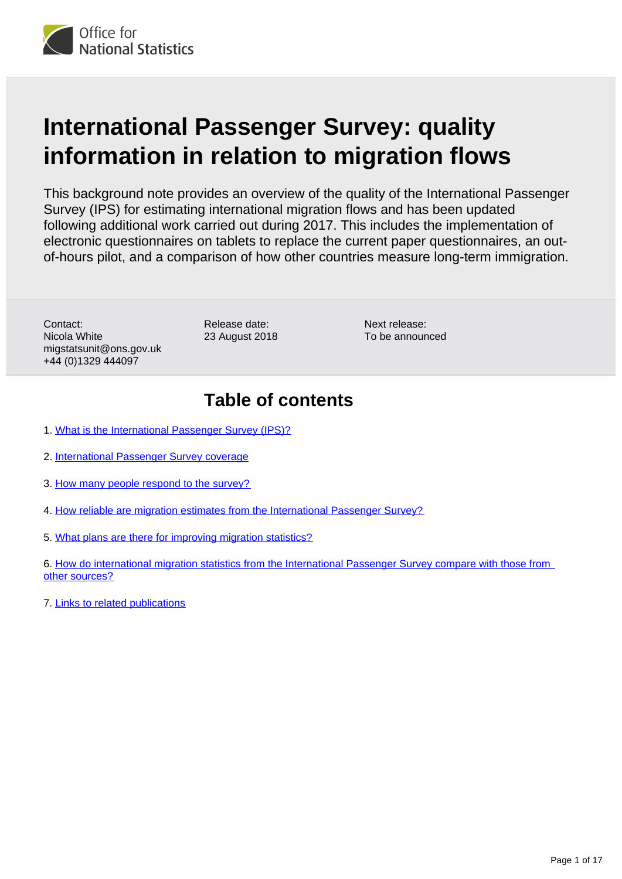

# **International Passenger Survey: quality information in relation to migration flows**

This background note provides an overview of the quality of the International Passenger Survey (IPS) for estimating international migration flows and has been updated following additional work carried out during 2017. This includes the implementation of electronic questionnaires on tablets to replace the current paper questionnaires, an outof-hours pilot, and a comparison of how other countries measure long-term immigration.

Contact: Nicola White migstatsunit@ons.gov.uk +44 (0)1329 444097

Release date: 23 August 2018 Next release: To be announced

## **Table of contents**

- 1. [What is the International Passenger Survey \(IPS\)?](#page-1-0)
- 2. [International Passenger Survey coverage](#page-1-1)
- 3. [How many people respond to the survey?](#page-8-0)
- 4. [How reliable are migration estimates from the International Passenger Survey?](#page-10-0)
- 5. [What plans are there for improving migration statistics?](#page-11-0)
- 6. [How do international migration statistics from the International Passenger Survey compare with those from](#page-12-0)  [other sources?](#page-12-0)
- 7. [Links to related publications](#page-16-0)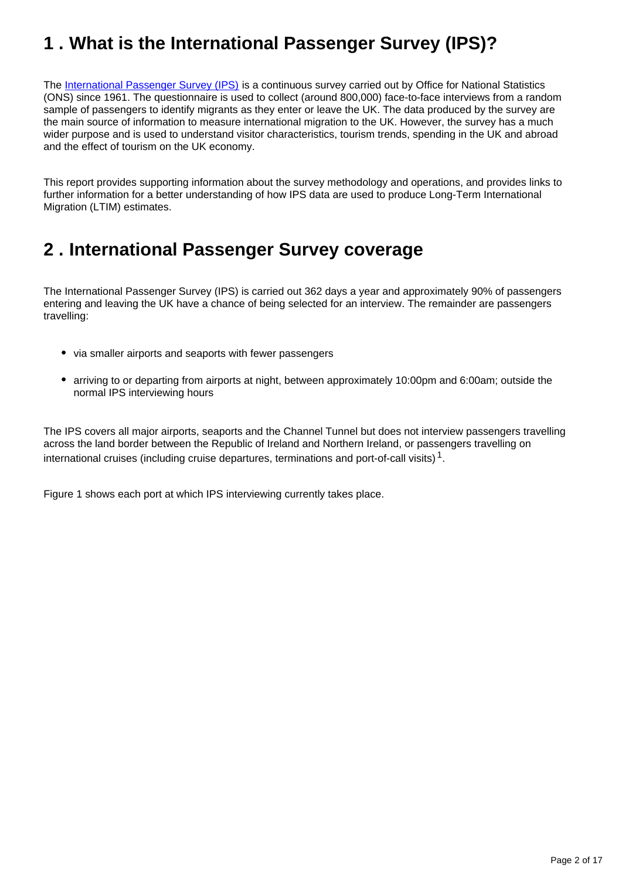## <span id="page-1-0"></span>**1 . What is the International Passenger Survey (IPS)?**

The [International Passenger Survey \(IPS\)](http://www.ons.gov.uk/ons/about-ons/get-involved/taking-part-in-a-survey/information-for-households/a-to-z-of-household-and-individual-surveys/international-passenger-survey/index.html) is a continuous survey carried out by Office for National Statistics (ONS) since 1961. The questionnaire is used to collect (around 800,000) face-to-face interviews from a random sample of passengers to identify migrants as they enter or leave the UK. The data produced by the survey are the main source of information to measure international migration to the UK. However, the survey has a much wider purpose and is used to understand visitor characteristics, tourism trends, spending in the UK and abroad and the effect of tourism on the UK economy.

This report provides supporting information about the survey methodology and operations, and provides links to further information for a better understanding of how IPS data are used to produce Long-Term International Migration (LTIM) estimates.

## <span id="page-1-1"></span>**2 . International Passenger Survey coverage**

The International Passenger Survey (IPS) is carried out 362 days a year and approximately 90% of passengers entering and leaving the UK have a chance of being selected for an interview. The remainder are passengers travelling:

- via smaller airports and seaports with fewer passengers
- arriving to or departing from airports at night, between approximately 10:00pm and 6:00am; outside the normal IPS interviewing hours

The IPS covers all major airports, seaports and the Channel Tunnel but does not interview passengers travelling across the land border between the Republic of Ireland and Northern Ireland, or passengers travelling on international cruises (including cruise departures, terminations and port-of-call visits)  $^1$ .

Figure 1 shows each port at which IPS interviewing currently takes place.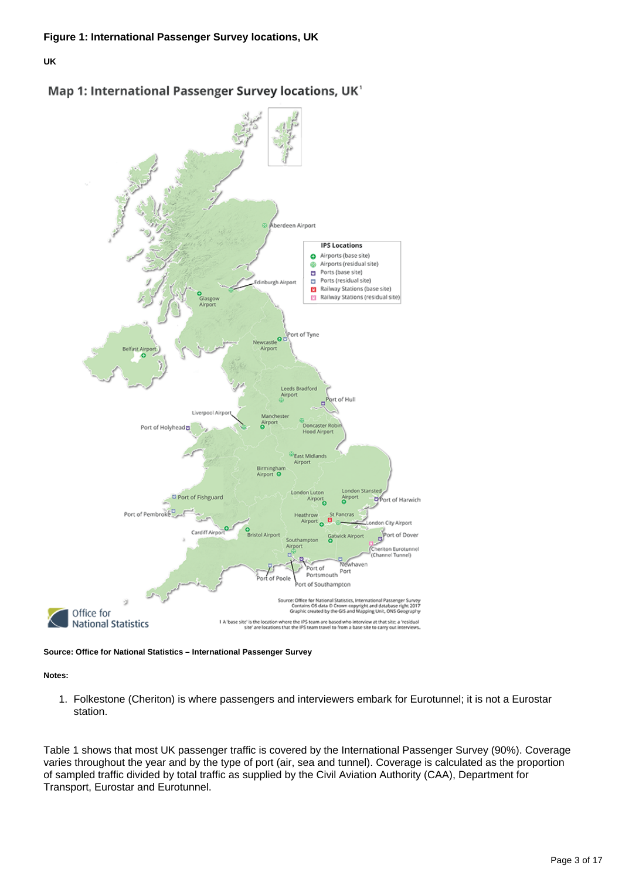





**Source: Office for National Statistics – International Passenger Survey**

**Notes:**

1. Folkestone (Cheriton) is where passengers and interviewers embark for Eurotunnel; it is not a Eurostar station.

Table 1 shows that most UK passenger traffic is covered by the International Passenger Survey (90%). Coverage varies throughout the year and by the type of port (air, sea and tunnel). Coverage is calculated as the proportion of sampled traffic divided by total traffic as supplied by the Civil Aviation Authority (CAA), Department for Transport, Eurostar and Eurotunnel.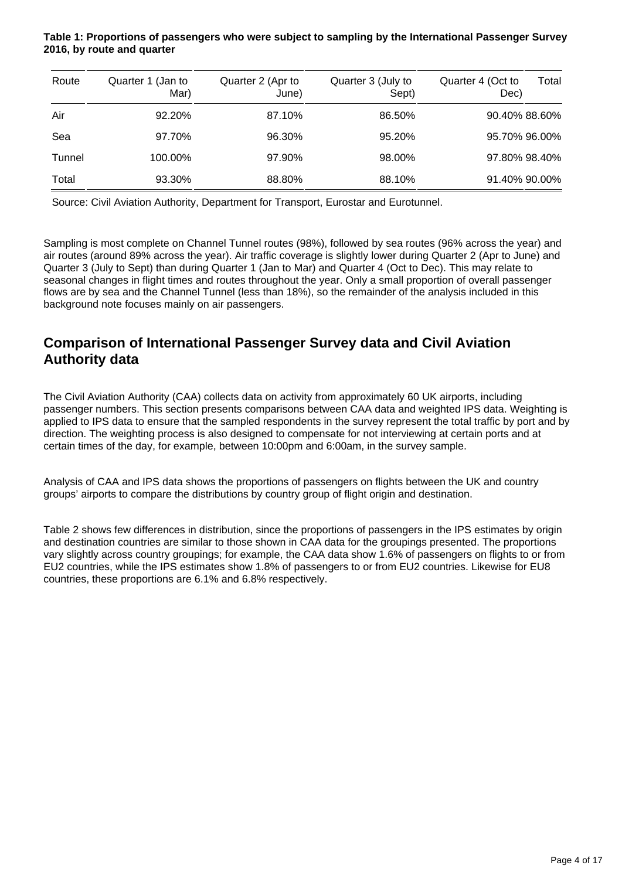#### **Table 1: Proportions of passengers who were subject to sampling by the International Passenger Survey 2016, by route and quarter**

| Route  | Quarter 1 (Jan to<br>Mar) | Quarter 2 (Apr to<br>June) | Quarter 3 (July to<br>Sept) | Quarter 4 (Oct to<br>Dec) | Total |
|--------|---------------------------|----------------------------|-----------------------------|---------------------------|-------|
| Air    | 92.20%                    | 87.10%                     | 86.50%                      | 90.40% 88.60%             |       |
| Sea    | 97.70%                    | 96.30%                     | 95.20%                      | 95.70% 96.00%             |       |
| Tunnel | 100.00%                   | 97.90%                     | 98.00%                      | 97.80% 98.40%             |       |
| Total  | 93.30%                    | 88.80%                     | 88.10%                      | 91.40% 90.00%             |       |

Source: Civil Aviation Authority, Department for Transport, Eurostar and Eurotunnel.

Sampling is most complete on Channel Tunnel routes (98%), followed by sea routes (96% across the year) and air routes (around 89% across the year). Air traffic coverage is slightly lower during Quarter 2 (Apr to June) and Quarter 3 (July to Sept) than during Quarter 1 (Jan to Mar) and Quarter 4 (Oct to Dec). This may relate to seasonal changes in flight times and routes throughout the year. Only a small proportion of overall passenger flows are by sea and the Channel Tunnel (less than 18%), so the remainder of the analysis included in this background note focuses mainly on air passengers.

### **Comparison of International Passenger Survey data and Civil Aviation Authority data**

The Civil Aviation Authority (CAA) collects data on activity from approximately 60 UK airports, including passenger numbers. This section presents comparisons between CAA data and weighted IPS data. Weighting is applied to IPS data to ensure that the sampled respondents in the survey represent the total traffic by port and by direction. The weighting process is also designed to compensate for not interviewing at certain ports and at certain times of the day, for example, between 10:00pm and 6:00am, in the survey sample.

Analysis of CAA and IPS data shows the proportions of passengers on flights between the UK and country groups' airports to compare the distributions by country group of flight origin and destination.

Table 2 shows few differences in distribution, since the proportions of passengers in the IPS estimates by origin and destination countries are similar to those shown in CAA data for the groupings presented. The proportions vary slightly across country groupings; for example, the CAA data show 1.6% of passengers on flights to or from EU2 countries, while the IPS estimates show 1.8% of passengers to or from EU2 countries. Likewise for EU8 countries, these proportions are 6.1% and 6.8% respectively.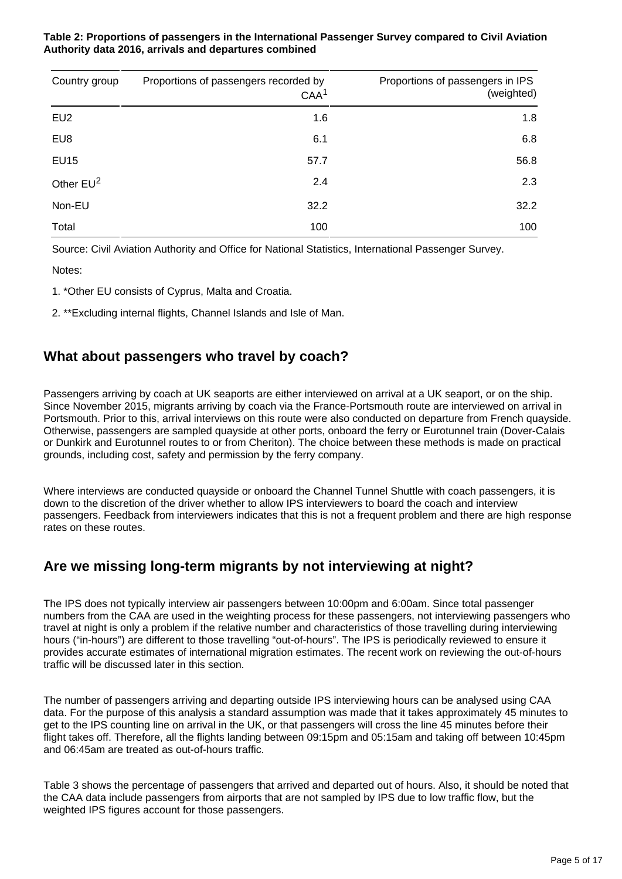#### **Table 2: Proportions of passengers in the International Passenger Survey compared to Civil Aviation Authority data 2016, arrivals and departures combined**

| Country group   | Proportions of passengers recorded by<br>CAA <sup>1</sup> | Proportions of passengers in IPS<br>(weighted) |
|-----------------|-----------------------------------------------------------|------------------------------------------------|
| EU <sub>2</sub> | 1.6                                                       | 1.8                                            |
| EU8             | 6.1                                                       | 6.8                                            |
| <b>EU15</b>     | 57.7                                                      | 56.8                                           |
| Other $EU^2$    | 2.4                                                       | 2.3                                            |
| Non-EU          | 32.2                                                      | 32.2                                           |
| Total           | 100                                                       | 100                                            |

Source: Civil Aviation Authority and Office for National Statistics, International Passenger Survey.

Notes:

- 1. \*Other EU consists of Cyprus, Malta and Croatia.
- 2. \*\*Excluding internal flights, Channel Islands and Isle of Man.

### **What about passengers who travel by coach?**

Passengers arriving by coach at UK seaports are either interviewed on arrival at a UK seaport, or on the ship. Since November 2015, migrants arriving by coach via the France-Portsmouth route are interviewed on arrival in Portsmouth. Prior to this, arrival interviews on this route were also conducted on departure from French quayside. Otherwise, passengers are sampled quayside at other ports, onboard the ferry or Eurotunnel train (Dover-Calais or Dunkirk and Eurotunnel routes to or from Cheriton). The choice between these methods is made on practical grounds, including cost, safety and permission by the ferry company.

Where interviews are conducted quayside or onboard the Channel Tunnel Shuttle with coach passengers, it is down to the discretion of the driver whether to allow IPS interviewers to board the coach and interview passengers. Feedback from interviewers indicates that this is not a frequent problem and there are high response rates on these routes.

### **Are we missing long-term migrants by not interviewing at night?**

The IPS does not typically interview air passengers between 10:00pm and 6:00am. Since total passenger numbers from the CAA are used in the weighting process for these passengers, not interviewing passengers who travel at night is only a problem if the relative number and characteristics of those travelling during interviewing hours ("in-hours") are different to those travelling "out-of-hours". The IPS is periodically reviewed to ensure it provides accurate estimates of international migration estimates. The recent work on reviewing the out-of-hours traffic will be discussed later in this section.

The number of passengers arriving and departing outside IPS interviewing hours can be analysed using CAA data. For the purpose of this analysis a standard assumption was made that it takes approximately 45 minutes to get to the IPS counting line on arrival in the UK, or that passengers will cross the line 45 minutes before their flight takes off. Therefore, all the flights landing between 09:15pm and 05:15am and taking off between 10:45pm and 06:45am are treated as out-of-hours traffic.

Table 3 shows the percentage of passengers that arrived and departed out of hours. Also, it should be noted that the CAA data include passengers from airports that are not sampled by IPS due to low traffic flow, but the weighted IPS figures account for those passengers.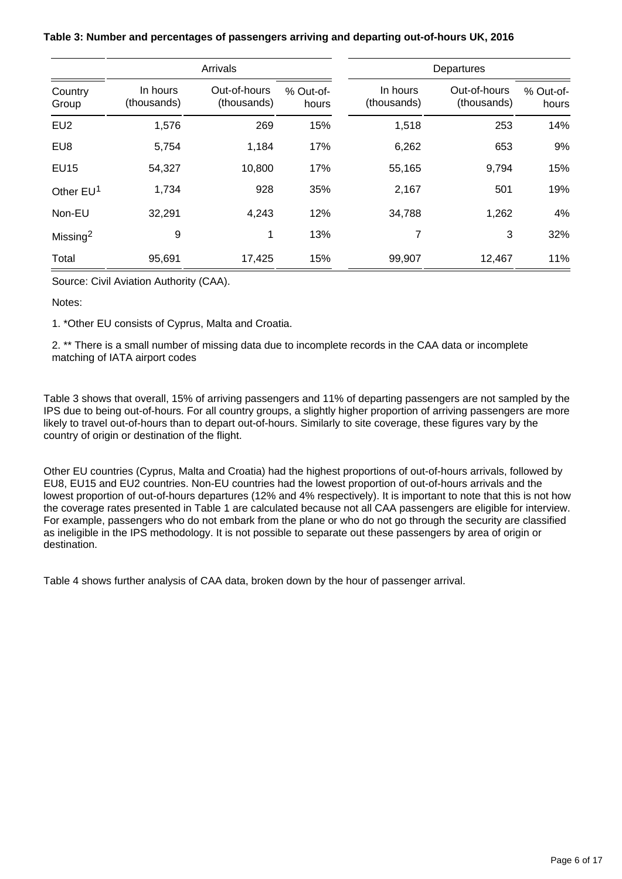|                       |                         | Arrivals                    |                    | Departures              |                             |                    |  |
|-----------------------|-------------------------|-----------------------------|--------------------|-------------------------|-----------------------------|--------------------|--|
| Country<br>Group      | In hours<br>(thousands) | Out-of-hours<br>(thousands) | % Out-of-<br>hours | In hours<br>(thousands) | Out-of-hours<br>(thousands) | % Out-of-<br>hours |  |
| EU <sub>2</sub>       | 1,576                   | 269                         | 15%                | 1,518                   | 253                         | 14%                |  |
| EU8                   | 5,754                   | 1,184                       | 17%                | 6,262                   | 653                         | 9%                 |  |
| <b>EU15</b>           | 54,327                  | 10,800                      | 17%                | 55,165                  | 9,794                       | 15%                |  |
| Other EU <sup>1</sup> | 1,734                   | 928                         | 35%                | 2,167                   | 501                         | 19%                |  |
| Non-EU                | 32,291                  | 4,243                       | 12%                | 34,788                  | 1,262                       | 4%                 |  |
| Missing <sup>2</sup>  | 9                       | 1                           | 13%                | 7                       | 3                           | 32%                |  |
| Total                 | 95,691                  | 17,425                      | 15%                | 99,907                  | 12,467                      | 11%                |  |

**Table 3: Number and percentages of passengers arriving and departing out-of-hours UK, 2016**

Source: Civil Aviation Authority (CAA).

Notes:

1. \*Other EU consists of Cyprus, Malta and Croatia.

2. \*\* There is a small number of missing data due to incomplete records in the CAA data or incomplete matching of IATA airport codes

Table 3 shows that overall, 15% of arriving passengers and 11% of departing passengers are not sampled by the IPS due to being out-of-hours. For all country groups, a slightly higher proportion of arriving passengers are more likely to travel out-of-hours than to depart out-of-hours. Similarly to site coverage, these figures vary by the country of origin or destination of the flight.

Other EU countries (Cyprus, Malta and Croatia) had the highest proportions of out-of-hours arrivals, followed by EU8, EU15 and EU2 countries. Non-EU countries had the lowest proportion of out-of-hours arrivals and the lowest proportion of out-of-hours departures (12% and 4% respectively). It is important to note that this is not how the coverage rates presented in Table 1 are calculated because not all CAA passengers are eligible for interview. For example, passengers who do not embark from the plane or who do not go through the security are classified as ineligible in the IPS methodology. It is not possible to separate out these passengers by area of origin or destination.

Table 4 shows further analysis of CAA data, broken down by the hour of passenger arrival.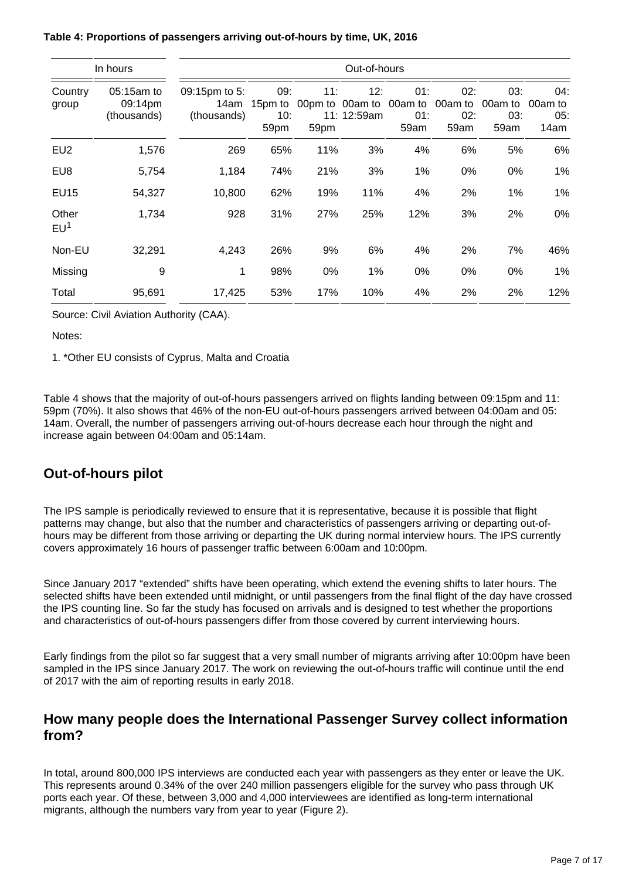| In hours                 |                                      | Out-of-hours                         |                    |             |                    |                                                                       |                    |                    |                               |
|--------------------------|--------------------------------------|--------------------------------------|--------------------|-------------|--------------------|-----------------------------------------------------------------------|--------------------|--------------------|-------------------------------|
| Country<br>group         | 05:15am to<br>09:14pm<br>(thousands) | 09:15pm to 5:<br>14am<br>(thousands) | 09:<br>10:<br>59pm | 11:<br>59pm | 12:<br>11: 12:59am | 01:<br>15pm to 00pm to 00am to 00am to 00am to 00am to<br>01:<br>59am | 02:<br>02:<br>59am | 03:<br>03:<br>59am | 04:<br>00am to<br>05:<br>14am |
| EU <sub>2</sub>          | 1,576                                | 269                                  | 65%                | 11%         | 3%                 | 4%                                                                    | 6%                 | 5%                 | 6%                            |
| EU8                      | 5,754                                | 1,184                                | 74%                | 21%         | 3%                 | 1%                                                                    | $0\%$              | 0%                 | 1%                            |
| <b>EU15</b>              | 54,327                               | 10,800                               | 62%                | 19%         | 11%                | 4%                                                                    | 2%                 | $1\%$              | 1%                            |
| Other<br>EU <sup>1</sup> | 1,734                                | 928                                  | 31%                | 27%         | 25%                | 12%                                                                   | 3%                 | 2%                 | 0%                            |
| Non-EU                   | 32,291                               | 4,243                                | 26%                | 9%          | 6%                 | 4%                                                                    | 2%                 | 7%                 | 46%                           |
| Missing                  | 9                                    | 1                                    | 98%                | 0%          | 1%                 | 0%                                                                    | $0\%$              | 0%                 | 1%                            |
| Total                    | 95,691                               | 17,425                               | 53%                | 17%         | 10%                | 4%                                                                    | 2%                 | 2%                 | 12%                           |

#### **Table 4: Proportions of passengers arriving out-of-hours by time, UK, 2016**

Source: Civil Aviation Authority (CAA).

#### Notes:

1. \*Other EU consists of Cyprus, Malta and Croatia

Table 4 shows that the majority of out-of-hours passengers arrived on flights landing between 09:15pm and 11: 59pm (70%). It also shows that 46% of the non-EU out-of-hours passengers arrived between 04:00am and 05: 14am. Overall, the number of passengers arriving out-of-hours decrease each hour through the night and increase again between 04:00am and 05:14am.

### **Out-of-hours pilot**

The IPS sample is periodically reviewed to ensure that it is representative, because it is possible that flight patterns may change, but also that the number and characteristics of passengers arriving or departing out-ofhours may be different from those arriving or departing the UK during normal interview hours. The IPS currently covers approximately 16 hours of passenger traffic between 6:00am and 10:00pm.

Since January 2017 "extended" shifts have been operating, which extend the evening shifts to later hours. The selected shifts have been extended until midnight, or until passengers from the final flight of the day have crossed the IPS counting line. So far the study has focused on arrivals and is designed to test whether the proportions and characteristics of out-of-hours passengers differ from those covered by current interviewing hours.

Early findings from the pilot so far suggest that a very small number of migrants arriving after 10:00pm have been sampled in the IPS since January 2017. The work on reviewing the out-of-hours traffic will continue until the end of 2017 with the aim of reporting results in early 2018.

#### **How many people does the International Passenger Survey collect information from?**

In total, around 800,000 IPS interviews are conducted each year with passengers as they enter or leave the UK. This represents around 0.34% of the over 240 million passengers eligible for the survey who pass through UK ports each year. Of these, between 3,000 and 4,000 interviewees are identified as long-term international migrants, although the numbers vary from year to year (Figure 2).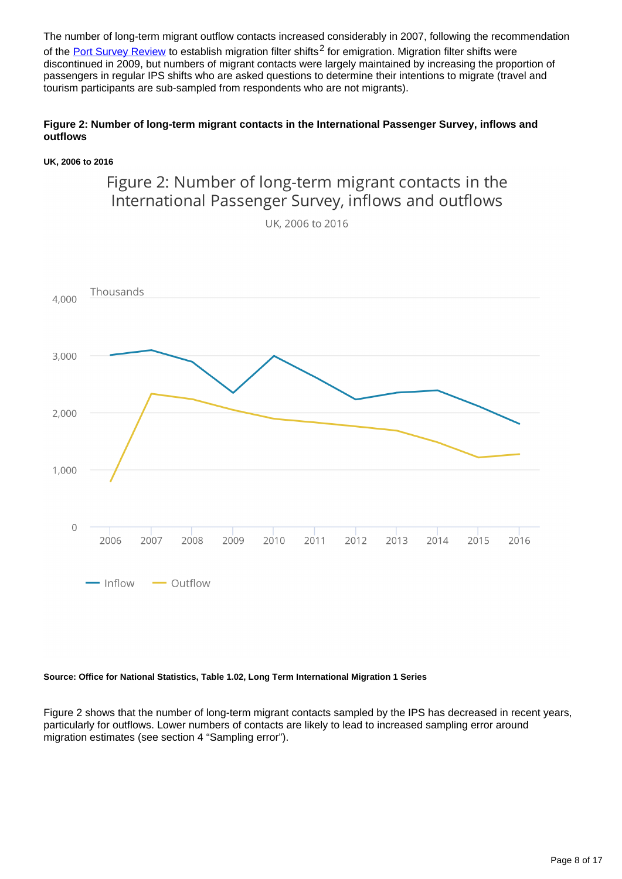The number of long-term migrant outflow contacts increased considerably in 2007, following the recommendation of the [Port Survey Review](http://www.ons.gov.uk/ons/guide-method/method-quality/imps/msi-programme/working-groups/entry-and-exit-working-group/port-survey-review-stage-two-final-technical-report.pdf) to establish migration filter shifts<sup>2</sup> for emigration. Migration filter shifts were discontinued in 2009, but numbers of migrant contacts were largely maintained by increasing the proportion of passengers in regular IPS shifts who are asked questions to determine their intentions to migrate (travel and tourism participants are sub-sampled from respondents who are not migrants).

#### **Figure 2: Number of long-term migrant contacts in the International Passenger Survey, inflows and outflows**

#### **UK, 2006 to 2016**

### Figure 2: Number of long-term migrant contacts in the International Passenger Survey, inflows and outflows

UK. 2006 to 2016



#### **Source: Office for National Statistics, Table 1.02, Long Term International Migration 1 Series**

Figure 2 shows that the number of long-term migrant contacts sampled by the IPS has decreased in recent years, particularly for outflows. Lower numbers of contacts are likely to lead to increased sampling error around migration estimates (see section 4 "Sampling error").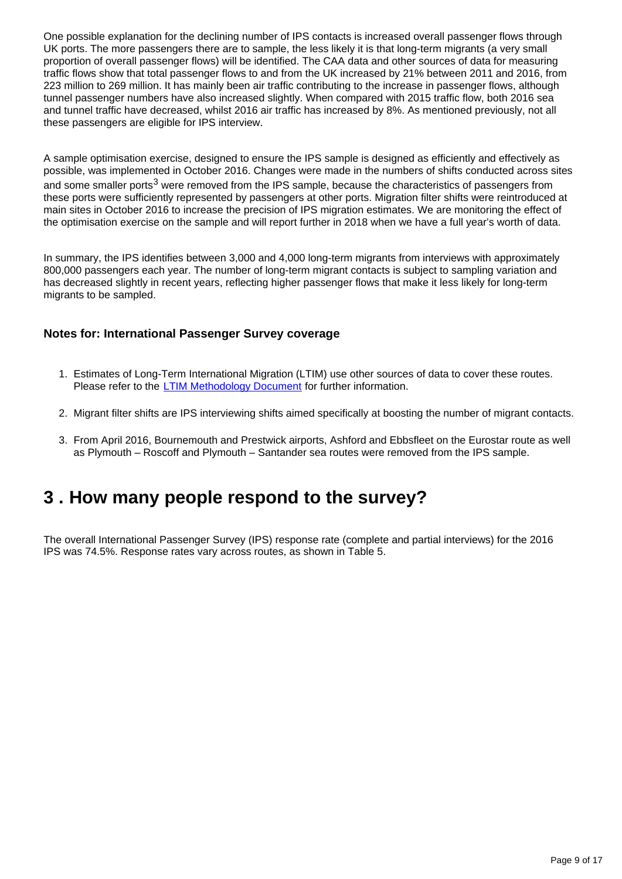One possible explanation for the declining number of IPS contacts is increased overall passenger flows through UK ports. The more passengers there are to sample, the less likely it is that long-term migrants (a very small proportion of overall passenger flows) will be identified. The CAA data and other sources of data for measuring traffic flows show that total passenger flows to and from the UK increased by 21% between 2011 and 2016, from 223 million to 269 million. It has mainly been air traffic contributing to the increase in passenger flows, although tunnel passenger numbers have also increased slightly. When compared with 2015 traffic flow, both 2016 sea and tunnel traffic have decreased, whilst 2016 air traffic has increased by 8%. As mentioned previously, not all these passengers are eligible for IPS interview.

A sample optimisation exercise, designed to ensure the IPS sample is designed as efficiently and effectively as possible, was implemented in October 2016. Changes were made in the numbers of shifts conducted across sites and some smaller ports<sup>3</sup> were removed from the IPS sample, because the characteristics of passengers from these ports were sufficiently represented by passengers at other ports. Migration filter shifts were reintroduced at main sites in October 2016 to increase the precision of IPS migration estimates. We are monitoring the effect of the optimisation exercise on the sample and will report further in 2018 when we have a full year's worth of data.

In summary, the IPS identifies between 3,000 and 4,000 long-term migrants from interviews with approximately 800,000 passengers each year. The number of long-term migrant contacts is subject to sampling variation and has decreased slightly in recent years, reflecting higher passenger flows that make it less likely for long-term migrants to be sampled.

#### **Notes for: International Passenger Survey coverage**

- 1. Estimates of Long-Term International Migration (LTIM) use other sources of data to cover these routes. Please refer to the [LTIM Methodology Document](https://www.ons.gov.uk/peoplepopulationandcommunity/populationandmigration/internationalmigration/methodologies/longterminternationalmigrationestimatesmethodology) for further information.
- 2. Migrant filter shifts are IPS interviewing shifts aimed specifically at boosting the number of migrant contacts.
- 3. From April 2016, Bournemouth and Prestwick airports, Ashford and Ebbsfleet on the Eurostar route as well as Plymouth – Roscoff and Plymouth – Santander sea routes were removed from the IPS sample.

## <span id="page-8-0"></span>**3 . How many people respond to the survey?**

The overall International Passenger Survey (IPS) response rate (complete and partial interviews) for the 2016 IPS was 74.5%. Response rates vary across routes, as shown in Table 5.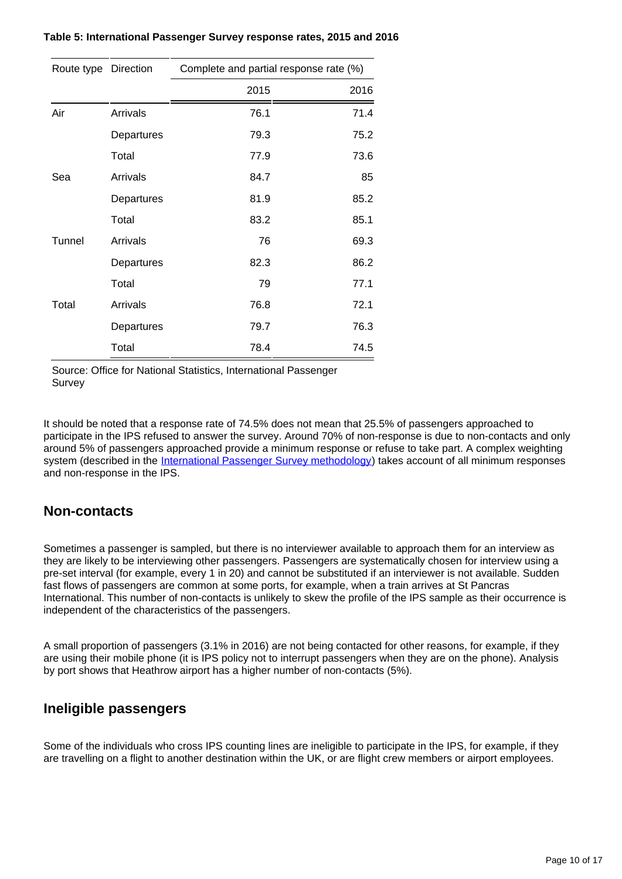| Route type Direction |            | Complete and partial response rate (%) |      |
|----------------------|------------|----------------------------------------|------|
|                      |            | 2015                                   | 2016 |
| Air                  | Arrivals   | 76.1                                   | 71.4 |
|                      | Departures | 79.3                                   | 75.2 |
|                      | Total      | 77.9                                   | 73.6 |
| Sea                  | Arrivals   | 84.7                                   | 85   |
|                      | Departures | 81.9                                   | 85.2 |
|                      | Total      | 83.2                                   | 85.1 |
| Tunnel               | Arrivals   | 76                                     | 69.3 |
|                      | Departures | 82.3                                   | 86.2 |
|                      | Total      | 79                                     | 77.1 |
| Total                | Arrivals   | 76.8                                   | 72.1 |
|                      | Departures | 79.7                                   | 76.3 |
|                      | Total      | 78.4                                   | 74.5 |

Source: Office for National Statistics, International Passenger Survey

It should be noted that a response rate of 74.5% does not mean that 25.5% of passengers approached to participate in the IPS refused to answer the survey. Around 70% of non-response is due to non-contacts and only around 5% of passengers approached provide a minimum response or refuse to take part. A complex weighting system (described in the [International Passenger Survey methodology\)](https://www.ons.gov.uk/peoplepopulationandcommunity/leisureandtourism/methodologies/internationalpassengersurveymethodology) takes account of all minimum responses and non-response in the IPS.

#### **Non-contacts**

Sometimes a passenger is sampled, but there is no interviewer available to approach them for an interview as they are likely to be interviewing other passengers. Passengers are systematically chosen for interview using a pre-set interval (for example, every 1 in 20) and cannot be substituted if an interviewer is not available. Sudden fast flows of passengers are common at some ports, for example, when a train arrives at St Pancras International. This number of non-contacts is unlikely to skew the profile of the IPS sample as their occurrence is independent of the characteristics of the passengers.

A small proportion of passengers (3.1% in 2016) are not being contacted for other reasons, for example, if they are using their mobile phone (it is IPS policy not to interrupt passengers when they are on the phone). Analysis by port shows that Heathrow airport has a higher number of non-contacts (5%).

### **Ineligible passengers**

Some of the individuals who cross IPS counting lines are ineligible to participate in the IPS, for example, if they are travelling on a flight to another destination within the UK, or are flight crew members or airport employees.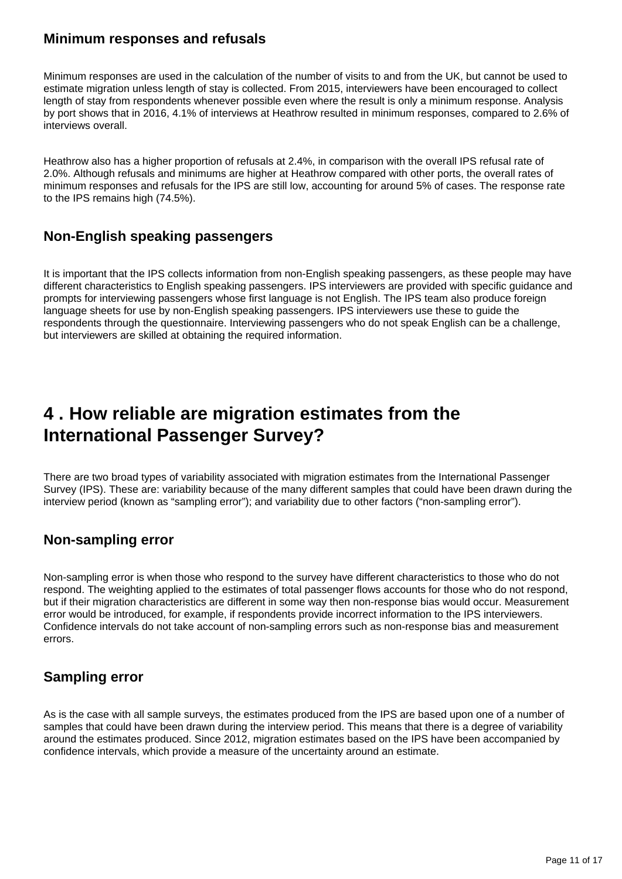#### **Minimum responses and refusals**

Minimum responses are used in the calculation of the number of visits to and from the UK, but cannot be used to estimate migration unless length of stay is collected. From 2015, interviewers have been encouraged to collect length of stay from respondents whenever possible even where the result is only a minimum response. Analysis by port shows that in 2016, 4.1% of interviews at Heathrow resulted in minimum responses, compared to 2.6% of interviews overall.

Heathrow also has a higher proportion of refusals at 2.4%, in comparison with the overall IPS refusal rate of 2.0%. Although refusals and minimums are higher at Heathrow compared with other ports, the overall rates of minimum responses and refusals for the IPS are still low, accounting for around 5% of cases. The response rate to the IPS remains high (74.5%).

### **Non-English speaking passengers**

It is important that the IPS collects information from non-English speaking passengers, as these people may have different characteristics to English speaking passengers. IPS interviewers are provided with specific guidance and prompts for interviewing passengers whose first language is not English. The IPS team also produce foreign language sheets for use by non-English speaking passengers. IPS interviewers use these to guide the respondents through the questionnaire. Interviewing passengers who do not speak English can be a challenge, but interviewers are skilled at obtaining the required information.

## <span id="page-10-0"></span>**4 . How reliable are migration estimates from the International Passenger Survey?**

There are two broad types of variability associated with migration estimates from the International Passenger Survey (IPS). These are: variability because of the many different samples that could have been drawn during the interview period (known as "sampling error"); and variability due to other factors ("non-sampling error").

### **Non-sampling error**

Non-sampling error is when those who respond to the survey have different characteristics to those who do not respond. The weighting applied to the estimates of total passenger flows accounts for those who do not respond, but if their migration characteristics are different in some way then non-response bias would occur. Measurement error would be introduced, for example, if respondents provide incorrect information to the IPS interviewers. Confidence intervals do not take account of non-sampling errors such as non-response bias and measurement errors.

### **Sampling error**

As is the case with all sample surveys, the estimates produced from the IPS are based upon one of a number of samples that could have been drawn during the interview period. This means that there is a degree of variability around the estimates produced. Since 2012, migration estimates based on the IPS have been accompanied by confidence intervals, which provide a measure of the uncertainty around an estimate.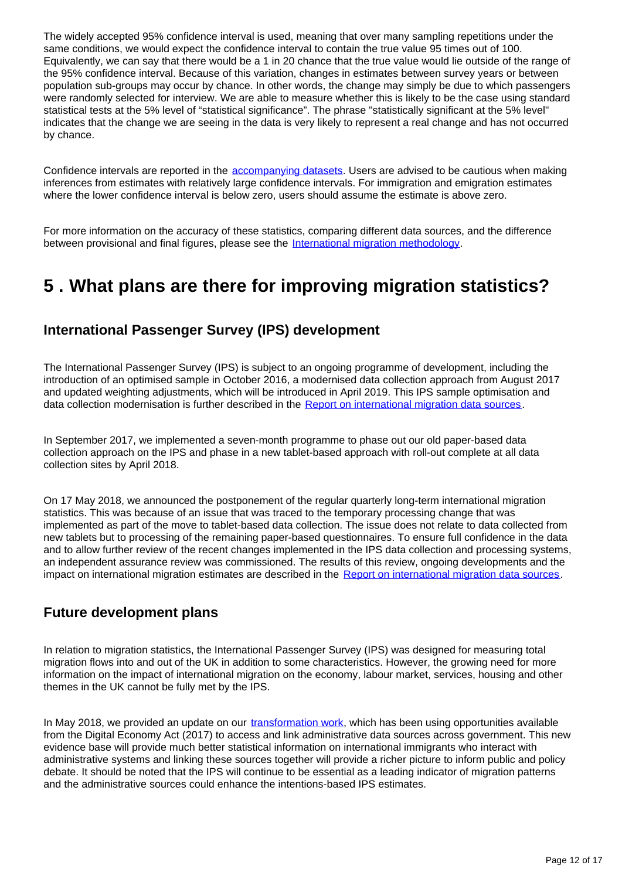The widely accepted 95% confidence interval is used, meaning that over many sampling repetitions under the same conditions, we would expect the confidence interval to contain the true value 95 times out of 100. Equivalently, we can say that there would be a 1 in 20 chance that the true value would lie outside of the range of the 95% confidence interval. Because of this variation, changes in estimates between survey years or between population sub-groups may occur by chance. In other words, the change may simply be due to which passengers were randomly selected for interview. We are able to measure whether this is likely to be the case using standard statistical tests at the 5% level of "statistical significance". The phrase "statistically significant at the 5% level" indicates that the change we are seeing in the data is very likely to represent a real change and has not occurred by chance.

Confidence intervals are reported in the [accompanying datasets](https://www.ons.gov.uk/peoplepopulationandcommunity/populationandmigration/internationalmigration/datasets/migrationstatisticsquarterlyreportprovisionallongterminternationalmigrationltimestimates). Users are advised to be cautious when making inferences from estimates with relatively large confidence intervals. For immigration and emigration estimates where the lower confidence interval is below zero, users should assume the estimate is above zero.

For more information on the accuracy of these statistics, comparing different data sources, and the difference between provisional and final figures, please see the [International migration methodology](https://www.ons.gov.uk/peoplepopulationandcommunity/populationandmigration/internationalmigration/methodologies/internationalmigrationmethodology).

## <span id="page-11-0"></span>**5 . What plans are there for improving migration statistics?**

#### **International Passenger Survey (IPS) development**

The International Passenger Survey (IPS) is subject to an ongoing programme of development, including the introduction of an optimised sample in October 2016, a modernised data collection approach from August 2017 and updated weighting adjustments, which will be introduced in April 2019. This IPS sample optimisation and data collection modernisation is further described in the [Report on international migration data sources.](https://www.ons.gov.uk/peoplepopulationandcommunity/populationandmigration/internationalmigration/articles/reportonthecomplexityandqualityofinternationalmigrationstatistics/july2018)

In September 2017, we implemented a seven-month programme to phase out our old paper-based data collection approach on the IPS and phase in a new tablet-based approach with roll-out complete at all data collection sites by April 2018.

On 17 May 2018, we announced the postponement of the regular quarterly long-term international migration statistics. This was because of an issue that was traced to the temporary processing change that was implemented as part of the move to tablet-based data collection. The issue does not relate to data collected from new tablets but to processing of the remaining paper-based questionnaires. To ensure full confidence in the data and to allow further review of the recent changes implemented in the IPS data collection and processing systems, an independent assurance review was commissioned. The results of this review, ongoing developments and the impact on international migration estimates are described in the [Report on international migration data sources](https://www.ons.gov.uk/peoplepopulationandcommunity/populationandmigration/internationalmigration/articles/reportonthecomplexityandqualityofinternationalmigrationstatistics/july2018).

#### **Future development plans**

In relation to migration statistics, the International Passenger Survey (IPS) was designed for measuring total migration flows into and out of the UK in addition to some characteristics. However, the growing need for more information on the impact of international migration on the economy, labour market, services, housing and other themes in the UK cannot be fully met by the IPS.

In May 2018, we provided an update on our [transformation work](https://www.ons.gov.uk/peoplepopulationandcommunity/populationandmigration/internationalmigration/articles/migrationstatisticstransformationupdate/2018-05-24), which has been using opportunities available from the Digital Economy Act (2017) to access and link administrative data sources across government. This new evidence base will provide much better statistical information on international immigrants who interact with administrative systems and linking these sources together will provide a richer picture to inform public and policy debate. It should be noted that the IPS will continue to be essential as a leading indicator of migration patterns and the administrative sources could enhance the intentions-based IPS estimates.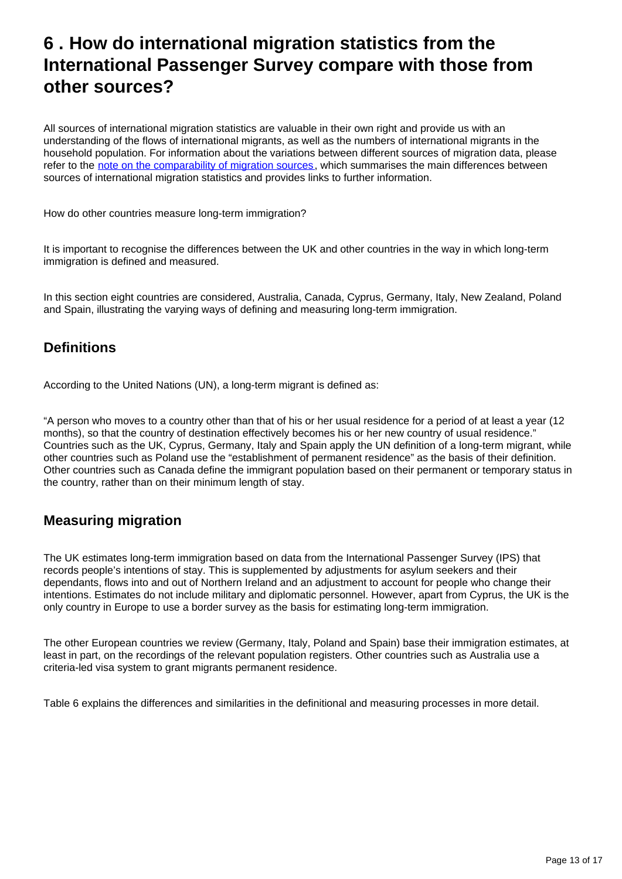## <span id="page-12-0"></span>**6 . How do international migration statistics from the International Passenger Survey compare with those from other sources?**

All sources of international migration statistics are valuable in their own right and provide us with an understanding of the flows of international migrants, as well as the numbers of international migrants in the household population. For information about the variations between different sources of migration data, please refer to the [note on the comparability of migration sources](https://www.ons.gov.uk/peoplepopulationandcommunity/populationandmigration/internationalmigration/articles/comparingsourcesofinternationalmigrationstatistics/december2016), which summarises the main differences between sources of international migration statistics and provides links to further information.

How do other countries measure long-term immigration?

It is important to recognise the differences between the UK and other countries in the way in which long-term immigration is defined and measured.

In this section eight countries are considered, Australia, Canada, Cyprus, Germany, Italy, New Zealand, Poland and Spain, illustrating the varying ways of defining and measuring long-term immigration.

### **Definitions**

According to the United Nations (UN), a long-term migrant is defined as:

"A person who moves to a country other than that of his or her usual residence for a period of at least a year (12 months), so that the country of destination effectively becomes his or her new country of usual residence." Countries such as the UK, Cyprus, Germany, Italy and Spain apply the UN definition of a long-term migrant, while other countries such as Poland use the "establishment of permanent residence" as the basis of their definition. Other countries such as Canada define the immigrant population based on their permanent or temporary status in the country, rather than on their minimum length of stay.

### **Measuring migration**

The UK estimates long-term immigration based on data from the International Passenger Survey (IPS) that records people's intentions of stay. This is supplemented by adjustments for asylum seekers and their dependants, flows into and out of Northern Ireland and an adjustment to account for people who change their intentions. Estimates do not include military and diplomatic personnel. However, apart from Cyprus, the UK is the only country in Europe to use a border survey as the basis for estimating long-term immigration.

The other European countries we review (Germany, Italy, Poland and Spain) base their immigration estimates, at least in part, on the recordings of the relevant population registers. Other countries such as Australia use a criteria-led visa system to grant migrants permanent residence.

Table 6 explains the differences and similarities in the definitional and measuring processes in more detail.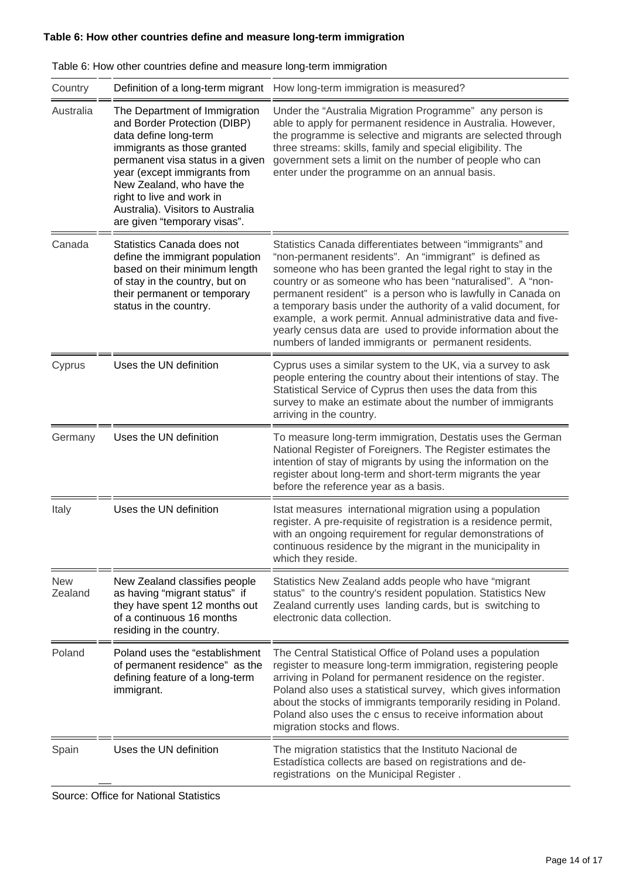#### **Table 6: How other countries define and measure long-term immigration**

| Country               | Definition of a long-term migrant                                                                                                                                                                                                                                                                                        | How long-term immigration is measured?                                                                                                                                                                                                                                                                                                                                                                                                                                                                                                                                     |
|-----------------------|--------------------------------------------------------------------------------------------------------------------------------------------------------------------------------------------------------------------------------------------------------------------------------------------------------------------------|----------------------------------------------------------------------------------------------------------------------------------------------------------------------------------------------------------------------------------------------------------------------------------------------------------------------------------------------------------------------------------------------------------------------------------------------------------------------------------------------------------------------------------------------------------------------------|
| Australia             | The Department of Immigration<br>and Border Protection (DIBP)<br>data define long-term<br>immigrants as those granted<br>permanent visa status in a given<br>year (except immigrants from<br>New Zealand, who have the<br>right to live and work in<br>Australia). Visitors to Australia<br>are given "temporary visas". | Under the "Australia Migration Programme" any person is<br>able to apply for permanent residence in Australia. However,<br>the programme is selective and migrants are selected through<br>three streams: skills, family and special eligibility. The<br>government sets a limit on the number of people who can<br>enter under the programme on an annual basis.                                                                                                                                                                                                          |
| Canada                | Statistics Canada does not<br>define the immigrant population<br>based on their minimum length<br>of stay in the country, but on<br>their permanent or temporary<br>status in the country.                                                                                                                               | Statistics Canada differentiates between "immigrants" and<br>"non-permanent residents". An "immigrant" is defined as<br>someone who has been granted the legal right to stay in the<br>country or as someone who has been "naturalised". A "non-<br>permanent resident" is a person who is lawfully in Canada on<br>a temporary basis under the authority of a valid document, for<br>example, a work permit. Annual administrative data and five-<br>yearly census data are used to provide information about the<br>numbers of landed immigrants or permanent residents. |
| Cyprus                | Uses the UN definition                                                                                                                                                                                                                                                                                                   | Cyprus uses a similar system to the UK, via a survey to ask<br>people entering the country about their intentions of stay. The<br>Statistical Service of Cyprus then uses the data from this<br>survey to make an estimate about the number of immigrants<br>arriving in the country.                                                                                                                                                                                                                                                                                      |
| Germany               | Uses the UN definition                                                                                                                                                                                                                                                                                                   | To measure long-term immigration, Destatis uses the German<br>National Register of Foreigners. The Register estimates the<br>intention of stay of migrants by using the information on the<br>register about long-term and short-term migrants the year<br>before the reference year as a basis.                                                                                                                                                                                                                                                                           |
| Italy                 | Uses the UN definition                                                                                                                                                                                                                                                                                                   | Istat measures international migration using a population<br>register. A pre-requisite of registration is a residence permit,<br>with an ongoing requirement for regular demonstrations of<br>continuous residence by the migrant in the municipality in<br>which they reside.                                                                                                                                                                                                                                                                                             |
| <b>New</b><br>Zealand | New Zealand classifies people<br>as having "migrant status" if<br>they have spent 12 months out<br>of a continuous 16 months<br>residing in the country.                                                                                                                                                                 | Statistics New Zealand adds people who have "migrant<br>status" to the country's resident population. Statistics New<br>Zealand currently uses landing cards, but is switching to<br>electronic data collection.                                                                                                                                                                                                                                                                                                                                                           |
| Poland                | Poland uses the "establishment"<br>of permanent residence" as the<br>defining feature of a long-term<br>immigrant.                                                                                                                                                                                                       | The Central Statistical Office of Poland uses a population<br>register to measure long-term immigration, registering people<br>arriving in Poland for permanent residence on the register.<br>Poland also uses a statistical survey, which gives information<br>about the stocks of immigrants temporarily residing in Poland.<br>Poland also uses the c ensus to receive information about<br>migration stocks and flows.                                                                                                                                                 |
| Spain                 | Uses the UN definition                                                                                                                                                                                                                                                                                                   | The migration statistics that the Instituto Nacional de<br>Estadística collects are based on registrations and de-<br>registrations on the Municipal Register.                                                                                                                                                                                                                                                                                                                                                                                                             |

| Table 6: How other countries define and measure long-term immigration |  |  |  |  |
|-----------------------------------------------------------------------|--|--|--|--|
|                                                                       |  |  |  |  |

Source: Office for National Statistics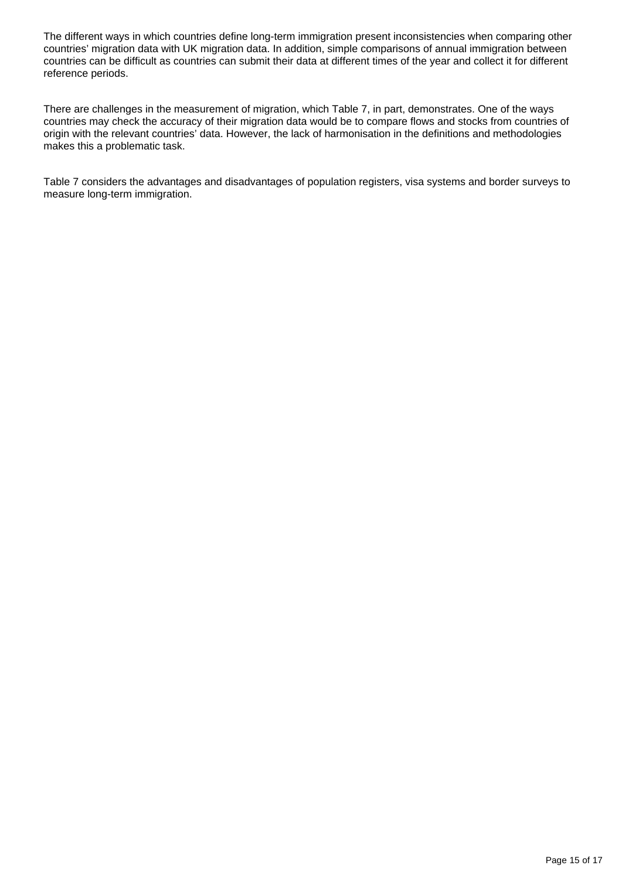The different ways in which countries define long-term immigration present inconsistencies when comparing other countries' migration data with UK migration data. In addition, simple comparisons of annual immigration between countries can be difficult as countries can submit their data at different times of the year and collect it for different reference periods.

There are challenges in the measurement of migration, which Table 7, in part, demonstrates. One of the ways countries may check the accuracy of their migration data would be to compare flows and stocks from countries of origin with the relevant countries' data. However, the lack of harmonisation in the definitions and methodologies makes this a problematic task.

Table 7 considers the advantages and disadvantages of population registers, visa systems and border surveys to measure long-term immigration.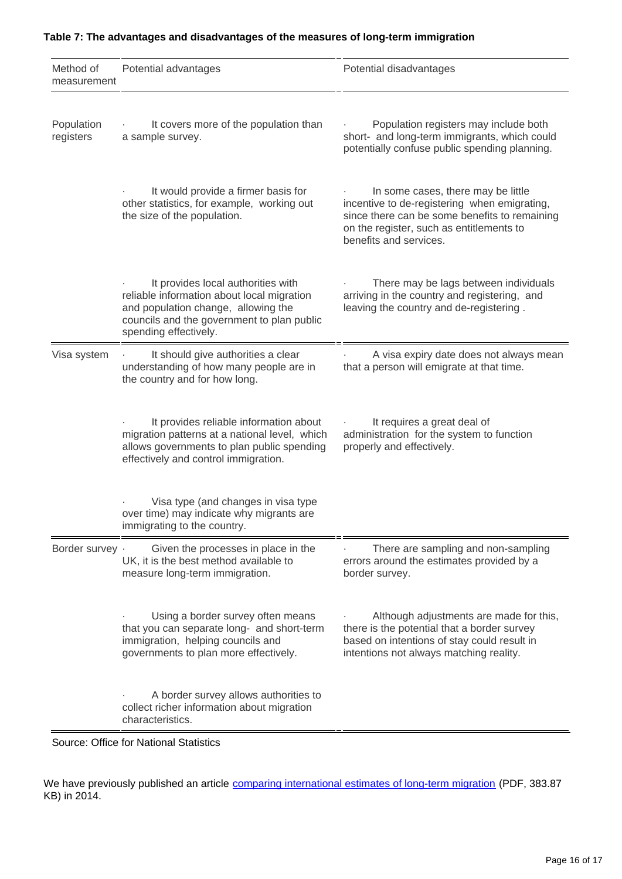| Method of<br>measurement | Potential advantages                                                                                                                                                                           | Potential disadvantages                                                                                                                                                                                   |  |  |  |
|--------------------------|------------------------------------------------------------------------------------------------------------------------------------------------------------------------------------------------|-----------------------------------------------------------------------------------------------------------------------------------------------------------------------------------------------------------|--|--|--|
| Population<br>registers  | It covers more of the population than<br>a sample survey.                                                                                                                                      | Population registers may include both<br>short- and long-term immigrants, which could<br>potentially confuse public spending planning.                                                                    |  |  |  |
|                          | It would provide a firmer basis for<br>other statistics, for example, working out<br>the size of the population.                                                                               | In some cases, there may be little<br>incentive to de-registering when emigrating,<br>since there can be some benefits to remaining<br>on the register, such as entitlements to<br>benefits and services. |  |  |  |
|                          | It provides local authorities with<br>reliable information about local migration<br>and population change, allowing the<br>councils and the government to plan public<br>spending effectively. | There may be lags between individuals<br>arriving in the country and registering, and<br>leaving the country and de-registering.                                                                          |  |  |  |
| Visa system              | It should give authorities a clear<br>understanding of how many people are in<br>the country and for how long.                                                                                 | A visa expiry date does not always mean<br>that a person will emigrate at that time.                                                                                                                      |  |  |  |
|                          | It provides reliable information about<br>migration patterns at a national level, which<br>allows governments to plan public spending<br>effectively and control immigration.                  | It requires a great deal of<br>administration for the system to function<br>properly and effectively.                                                                                                     |  |  |  |
|                          | Visa type (and changes in visa type<br>over time) may indicate why migrants are<br>immigrating to the country.                                                                                 |                                                                                                                                                                                                           |  |  |  |
| Border survey .          | Given the processes in place in the<br>UK, it is the best method available to<br>measure long-term immigration.                                                                                | There are sampling and non-sampling<br>errors around the estimates provided by a<br>border survey.                                                                                                        |  |  |  |
|                          | Using a border survey often means<br>that you can separate long- and short-term<br>immigration, helping councils and<br>governments to plan more effectively.                                  | Although adjustments are made for this,<br>there is the potential that a border survey<br>based on intentions of stay could result in<br>intentions not always matching reality.                          |  |  |  |
|                          | A border survey allows authorities to<br>collect richer information about migration<br>characteristics.                                                                                        |                                                                                                                                                                                                           |  |  |  |

#### **Table 7: The advantages and disadvantages of the measures of long-term immigration**

Source: Office for National Statistics

We have previously published an article [comparing international estimates of long-term migration](http://webarchive.nationalarchives.gov.uk/20160108033613/http:/www.ons.gov.uk/ons/dcp171776_387273.pdf) (PDF, 383.87 KB) in 2014.